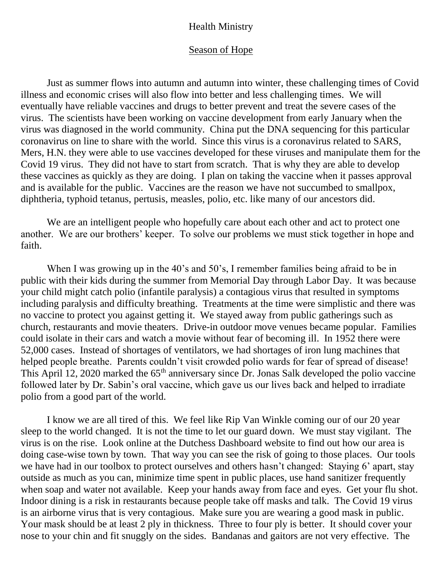## Health Ministry

## Season of Hope

Just as summer flows into autumn and autumn into winter, these challenging times of Covid illness and economic crises will also flow into better and less challenging times. We will eventually have reliable vaccines and drugs to better prevent and treat the severe cases of the virus. The scientists have been working on vaccine development from early January when the virus was diagnosed in the world community. China put the DNA sequencing for this particular coronavirus on line to share with the world. Since this virus is a coronavirus related to SARS, Mers, H.N. they were able to use vaccines developed for these viruses and manipulate them for the Covid 19 virus. They did not have to start from scratch. That is why they are able to develop these vaccines as quickly as they are doing. I plan on taking the vaccine when it passes approval and is available for the public. Vaccines are the reason we have not succumbed to smallpox, diphtheria, typhoid tetanus, pertusis, measles, polio, etc. like many of our ancestors did.

We are an intelligent people who hopefully care about each other and act to protect one another. We are our brothers' keeper. To solve our problems we must stick together in hope and faith.

When I was growing up in the 40's and 50's, I remember families being afraid to be in public with their kids during the summer from Memorial Day through Labor Day. It was because your child might catch polio (infantile paralysis) a contagious virus that resulted in symptoms including paralysis and difficulty breathing. Treatments at the time were simplistic and there was no vaccine to protect you against getting it. We stayed away from public gatherings such as church, restaurants and movie theaters. Drive-in outdoor move venues became popular. Families could isolate in their cars and watch a movie without fear of becoming ill. In 1952 there were 52,000 cases. Instead of shortages of ventilators, we had shortages of iron lung machines that helped people breathe. Parents couldn't visit crowded polio wards for fear of spread of disease! This April 12, 2020 marked the 65<sup>th</sup> anniversary since Dr. Jonas Salk developed the polio vaccine followed later by Dr. Sabin's oral vaccine, which gave us our lives back and helped to irradiate polio from a good part of the world.

I know we are all tired of this. We feel like Rip Van Winkle coming our of our 20 year sleep to the world changed. It is not the time to let our guard down. We must stay vigilant. The virus is on the rise. Look online at the Dutchess Dashboard website to find out how our area is doing case-wise town by town. That way you can see the risk of going to those places. Our tools we have had in our toolbox to protect ourselves and others hasn't changed: Staying 6' apart, stay outside as much as you can, minimize time spent in public places, use hand sanitizer frequently when soap and water not available. Keep your hands away from face and eyes. Get your flu shot. Indoor dining is a risk in restaurants because people take off masks and talk. The Covid 19 virus is an airborne virus that is very contagious. Make sure you are wearing a good mask in public. Your mask should be at least 2 ply in thickness. Three to four ply is better. It should cover your nose to your chin and fit snuggly on the sides. Bandanas and gaitors are not very effective. The